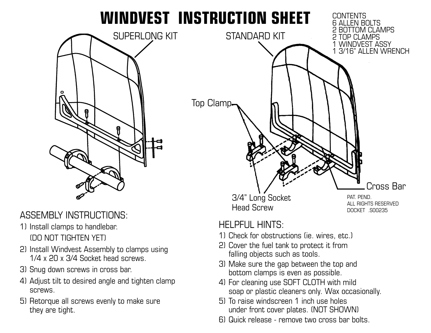## **WINDVEST INSTRUCTION SHEET**



ASSEMBLY INSTRUCTIONS:

- 1) Install clamps to handlebar. (DO NOT TIGHTEN YET)
- 2) Install Windvest Assembly to clamps using 1/4 x 20 x 3/4 Socket head screws.
- 3) Snug down screws in cross bar.
- 4) Adjust tilt to desired angle and tighten clamp screws.
- 5) Retorque all screws evenly to make sure they are tight.



## $H$ FI PFI II  $H$ INTS $\cdot$

- 1) Check for obstructions (ie. wires, etc.)
- 2) Cover the fuel tank to protect it from falling objects such as tools.
- 3) Make sure the gap between the top and bottom clamps is even as possible.
- 4) For cleaning use SOFT CLOTH with mild soap or plastic cleaners only. Wax occasionally.
- 5) To raise windscreen 1 inch use holes under front cover plates. (NOT SHOWN)
- 6) Quick release remove two cross bar bolts.